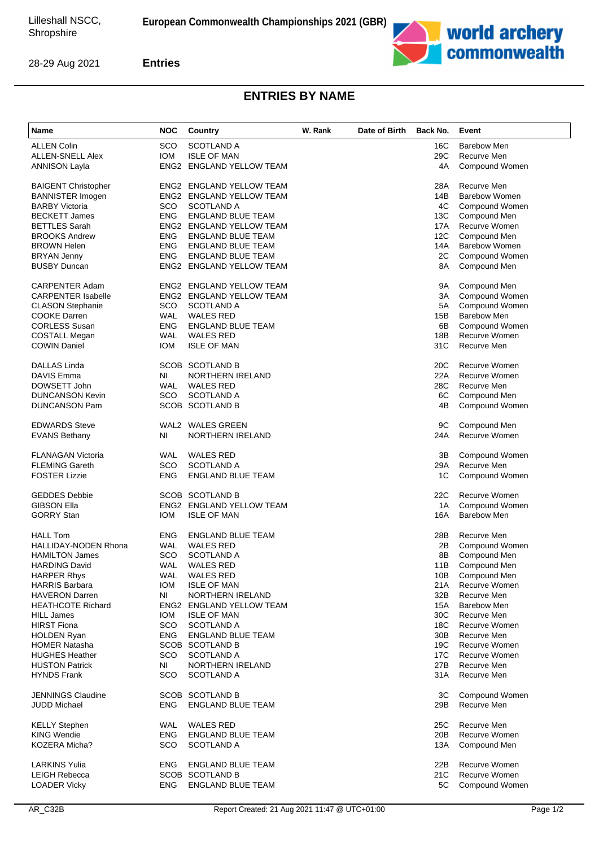

28-29 Aug 2021

**Entries**

## **ENTRIES BY NAME**

| Name                        | <b>NOC</b> | Country                         | W. Rank | Date of Birth | Back No. | Event                |
|-----------------------------|------------|---------------------------------|---------|---------------|----------|----------------------|
| <b>ALLEN Colin</b>          | SCO        | <b>SCOTLAND A</b>               |         |               | 16C      | <b>Barebow Men</b>   |
| <b>ALLEN-SNELL Alex</b>     | <b>IOM</b> | <b>ISLE OF MAN</b>              |         |               | 29C      | Recurve Men          |
| <b>ANNISON Layla</b>        |            | ENG2 ENGLAND YELLOW TEAM        |         |               | 4A       | Compound Women       |
| <b>BAIGENT Christopher</b>  |            | ENG2 ENGLAND YELLOW TEAM        |         |               | 28A      | Recurve Men          |
| <b>BANNISTER Imogen</b>     |            | <b>ENG2 ENGLAND YELLOW TEAM</b> |         |               | 14B      | Barebow Women        |
| <b>BARBY Victoria</b>       | SCO.       | <b>SCOTLAND A</b>               |         |               | 4C       | Compound Women       |
| <b>BECKETT James</b>        | <b>ENG</b> | <b>ENGLAND BLUE TEAM</b>        |         |               | 13C      | Compound Men         |
| <b>BETTLES Sarah</b>        |            | ENG2 ENGLAND YELLOW TEAM        |         |               | 17A      | Recurve Women        |
| <b>BROOKS Andrew</b>        | <b>ENG</b> | ENGLAND BLUE TEAM               |         |               | 12C      | Compound Men         |
| <b>BROWN Helen</b>          | ENG        | <b>ENGLAND BLUE TEAM</b>        |         |               | 14A      | <b>Barebow Women</b> |
| <b>BRYAN Jenny</b>          | <b>ENG</b> | ENGLAND BLUE TEAM               |         |               | 2C       | Compound Women       |
| <b>BUSBY Duncan</b>         |            | ENG2 ENGLAND YELLOW TEAM        |         |               | 8A       | Compound Men         |
| <b>CARPENTER Adam</b>       |            | ENG2 ENGLAND YELLOW TEAM        |         |               | 9A       | Compound Men         |
| <b>CARPENTER Isabelle</b>   |            | ENG2 ENGLAND YELLOW TEAM        |         |               | ЗA       | Compound Women       |
| <b>CLASON Stephanie</b>     | SCO        | <b>SCOTLAND A</b>               |         |               | 5A       | Compound Women       |
| <b>COOKE Darren</b>         | WAL        | <b>WALES RED</b>                |         |               | 15B      | <b>Barebow Men</b>   |
| <b>CORLESS Susan</b>        | <b>ENG</b> | <b>ENGLAND BLUE TEAM</b>        |         |               | 6B       | Compound Women       |
| <b>COSTALL Megan</b>        | <b>WAL</b> | <b>WALES RED</b>                |         |               | 18B      | <b>Recurve Women</b> |
| <b>COWIN Daniel</b>         | <b>IOM</b> | <b>ISLE OF MAN</b>              |         |               | 31C      | Recurve Men          |
| <b>DALLAS Linda</b>         |            | <b>SCOB SCOTLAND B</b>          |         |               | 20C      | Recurve Women        |
| DAVIS Emma                  | NI         | NORTHERN IRELAND                |         |               | 22A      | Recurve Women        |
| DOWSETT John                | WAL        | <b>WALES RED</b>                |         |               | 28C      | Recurve Men          |
| <b>DUNCANSON Kevin</b>      | SCO        | <b>SCOTLAND A</b>               |         |               | 6C       | Compound Men         |
| <b>DUNCANSON Pam</b>        |            | SCOB SCOTLAND B                 |         |               | 4B       | Compound Women       |
| <b>EDWARDS Steve</b>        |            | WAL2 WALES GREEN                |         |               | 9C       | Compound Men         |
| <b>EVANS Bethany</b>        | ΝI         | NORTHERN IRELAND                |         |               | 24A      | <b>Recurve Women</b> |
| <b>FLANAGAN Victoria</b>    | WAL        | <b>WALES RED</b>                |         |               | 3B       | Compound Women       |
| <b>FLEMING Gareth</b>       | SCO        | <b>SCOTLAND A</b>               |         |               | 29A      | Recurve Men          |
| <b>FOSTER Lizzie</b>        | <b>ENG</b> | <b>ENGLAND BLUE TEAM</b>        |         |               | 1C       | Compound Women       |
| <b>GEDDES Debbie</b>        |            | <b>SCOB SCOTLAND B</b>          |         |               | 22C      | <b>Recurve Women</b> |
| <b>GIBSON Ella</b>          |            | ENG2 ENGLAND YELLOW TEAM        |         |               | 1A       | Compound Women       |
| <b>GORRY Stan</b>           | <b>IOM</b> | <b>ISLE OF MAN</b>              |         |               | 16A      | <b>Barebow Men</b>   |
| <b>HALL Tom</b>             | <b>ENG</b> | <b>ENGLAND BLUE TEAM</b>        |         |               | 28B      | Recurve Men          |
| <b>HALLIDAY-NODEN Rhona</b> | WAL        | <b>WALES RED</b>                |         |               | 2Β       | Compound Women       |
| <b>HAMILTON James</b>       | sco        | SCOTLAND A                      |         |               | 8B       | Compound Men         |
| <b>HARDING David</b>        | <b>WAL</b> | <b>WALES RED</b>                |         |               | 11B      | Compound Men         |
| <b>HARPER Rhys</b>          | WAL        | WALES RED                       |         |               | 10B      | Compound Men         |
| <b>HARRIS Barbara</b>       | IOM        | <b>ISLE OF MAN</b>              |         |               | 21A      | Recurve Women        |
| <b>HAVERON Darren</b>       | ΝI         | NORTHERN IRELAND                |         |               | 32B      | Recurve Men          |
| <b>HEATHCOTE Richard</b>    |            | ENG2 ENGLAND YELLOW TEAM        |         |               | 15A      | <b>Barebow Men</b>   |
| <b>HILL James</b>           | IOM        | <b>ISLE OF MAN</b>              |         |               | 30C      | Recurve Men          |
| <b>HIRST Fiona</b>          | SCO        | <b>SCOTLAND A</b>               |         |               | 18C      | Recurve Women        |
| <b>HOLDEN Ryan</b>          | ENG.       | ENGLAND BLUE TEAM               |         |               | 30B      | Recurve Men          |
| <b>HOMER Natasha</b>        |            | SCOB SCOTLAND B                 |         |               | 19C      | Recurve Women        |
| <b>HUGHES Heather</b>       | sco        | <b>SCOTLAND A</b>               |         |               | 17C      | Recurve Women        |
| <b>HUSTON Patrick</b>       | NI         | NORTHERN IRELAND                |         |               | 27B      | Recurve Men          |
| <b>HYNDS Frank</b>          | SCO.       | <b>SCOTLAND A</b>               |         |               | 31A      | Recurve Men          |
| <b>JENNINGS Claudine</b>    |            | <b>SCOB SCOTLAND B</b>          |         |               | ЗC       | Compound Women       |
| JUDD Michael                | ENG.       | ENGLAND BLUE TEAM               |         |               | 29B      | Recurve Men          |
| <b>KELLY Stephen</b>        | WAL        | <b>WALES RED</b>                |         |               | 25C      | Recurve Men          |
| <b>KING Wendie</b>          | ENG.       | <b>ENGLAND BLUE TEAM</b>        |         |               | 20B      | Recurve Women        |
| KOZERA Micha?               | sco        | <b>SCOTLAND A</b>               |         |               | 13A      | Compound Men         |
| <b>LARKINS Yulia</b>        | ENG        | <b>ENGLAND BLUE TEAM</b>        |         |               | 22B      | Recurve Women        |
| <b>LEIGH Rebecca</b>        |            | SCOB SCOTLAND B                 |         |               | 21C      | Recurve Women        |
| <b>LOADER Vicky</b>         | ENG.       | <b>ENGLAND BLUE TEAM</b>        |         |               | 5C       | Compound Women       |